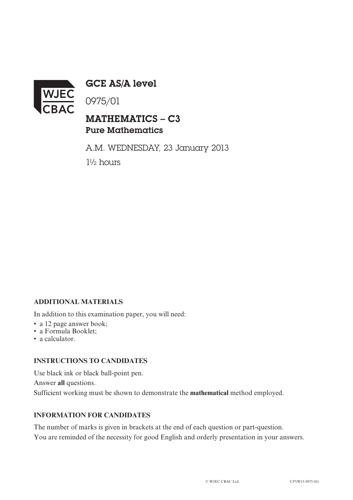

GCE AS/A level

0975/01

# MATHEMATICS – C3 Pure Mathematics

A.M. WEDNESDAY, 23 January 2013 1½ hours

## **ADDITIONAL MATERIALS**

In addition to this examination paper, you will need:

- a 12 page answer book;
- a Formula Booklet;
- a calculator.

#### **INSTRUCTIONS TO CANDIDATES**

Use black ink or black ball-point pen. Answer **all** questions. Sufficient working must be shown to demonstrate the **mathematical** method employed.

### **INFORMATION FOR CANDIDATES**

The number of marks is given in brackets at the end of each question or part-question. You are reminded of the necessity for good English and orderly presentation in your answers.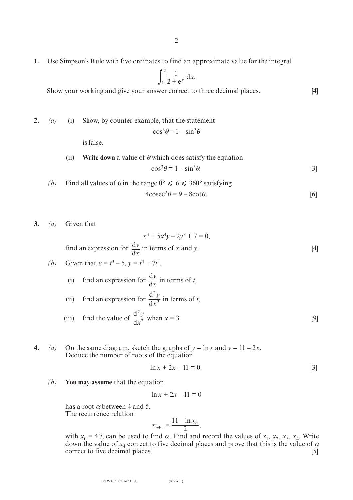**1.** Use Simpson's Rule with five ordinates to find an approximate value for the integral

$$
\int_1^2 \frac{1}{2 + e^x} \, \mathrm{d}x.
$$

Show your working and give your answer correct to three decimal places. [4]

**2.** *(a)* (i) Show, by counter-example, that the statement  $\cos^3\theta \equiv 1 - \sin^3\theta$ 

is false.

(ii) Write down a value of 
$$
\theta
$$
 which does satisfy the equation  

$$
\cos^3 \theta = 1 - \sin^3 \theta.
$$
 [3]

(b) Find all values of 
$$
\theta
$$
 in the range  $0^{\circ} \le \theta \le 360^{\circ}$  satisfying  
\n
$$
4\csc^2\theta = 9 - 8\cot\theta.
$$
 [6]

**3.** *(a)* Given that

$$
x^3 + 5x^4y - 2y^3 + 7 = 0,
$$
  
find an expression for  $\frac{dy}{dx}$  in terms of x and y. [4]

(b) Given that 
$$
x = t^3 - 5
$$
,  $y = t^4 + 7t^5$ ,

- (i) find an expression for  $\frac{dy}{dx}$  in terms of *t*, d *y x*
- (ii) find an expression for  $\frac{d^2y}{dx^2}$  in terms of *t*, (iii) find the value of  $\frac{d^2y}{dx^2}$  when  $x = 3$ . [9] d 2 2 *y x* d 2 2 *y x*
- **4.** *(a)* On the same diagram, sketch the graphs of  $y = \ln x$  and  $y = 11 2x$ . Deduce the number of roots of the equation

$$
\ln x + 2x - 11 = 0. \tag{3}
$$

*(b)* **You may assume** that the equation

$$
\ln x + 2x - 11 = 0
$$

has a root  $\alpha$  between 4 and 5. The recurrence relation

$$
x_{n+1} = \frac{11 - \ln x_n}{2},
$$

with  $x_0 = 4.7$ , can be used to find  $\alpha$ . Find and record the values of  $x_1, x_2, x_3, x_4$ . Write down the value of  $x_4$  correct to five decimal places and prove that this is the value of  $\alpha$  correct to five decimal places. [5] correct to five decimal places.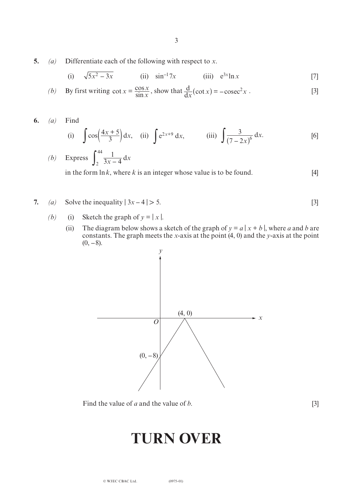**5.** *(a)* Differentiate each of the following with respect to *x*.

(i) 
$$
\sqrt{5x^2 - 3x}
$$
 (ii)  $\sin^{-1} 7x$  (iii)  $e^{3x} \ln x$  [7]

(b) By first writing 
$$
\cot x = \frac{\cos x}{\sin x}
$$
, show that  $\frac{d}{dx}(\cot x) = -\csc^2 x$ . [3]

**6.** *(a)* Find

(i) 
$$
\int \cos\left(\frac{4x+5}{3}\right) dx
$$
, (ii)  $\int e^{2x+9} dx$ , (iii)  $\int \frac{3}{(7-2x)^6} dx$ . [6]

(b) Express 
$$
\int_{2}^{44} \frac{1}{3x - 4} dx
$$

in the form  $\ln k$ , where *k* is an integer whose value is to be found. [4]

**7.** *(a)* Solve the inequality  $|3x-4| > 5$ . [3]

- *(b)* (i) Sketch the graph of  $y = |x|$ .
	- (ii) The diagram below shows a sketch of the graph of  $y = a | x + b |$ , where *a* and *b* are constants. The graph meets the *x*-axis at the point (4, 0) and the *y*-axis at the point  $(0, -8)$ .



Find the value of *a* and the value of *b*. [3]

# **TURN OVER**